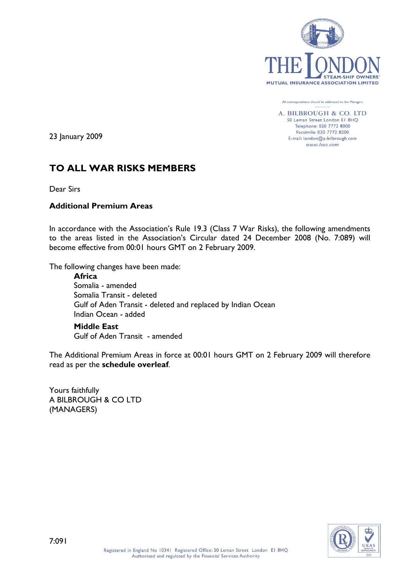

All correspondence should be addressed to the Managers

A. BILBROUGH & CO. LTD 50 Leman Street London El 8HQ Telephone: 020 7772 8000 Facsimile: 020 7772 8200 E-mail: london@a-bilbrough.com www.lsso.com

23 January 2009

# **TO ALL WAR RISKS MEMBERS**

Dear Sirs

# **Additional Premium Areas**

In accordance with the Association's Rule 19.3 (Class 7 War Risks), the following amendments to the areas listed in the Association's Circular dated 24 December 2008 (No. 7:089) will become effective from 00:01 hours GMT on 2 February 2009.

The following changes have been made:

**Africa** Somalia - amended Somalia Transit - deleted Gulf of Aden Transit - deleted and replaced by Indian Ocean Indian Ocean - added

**Middle East** Gulf of Aden Transit - amended

The Additional Premium Areas in force at 00:01 hours GMT on 2 February 2009 will therefore read as per the **schedule overleaf**.

Yours faithfully A BILBROUGH & CO LTD (MANAGERS)